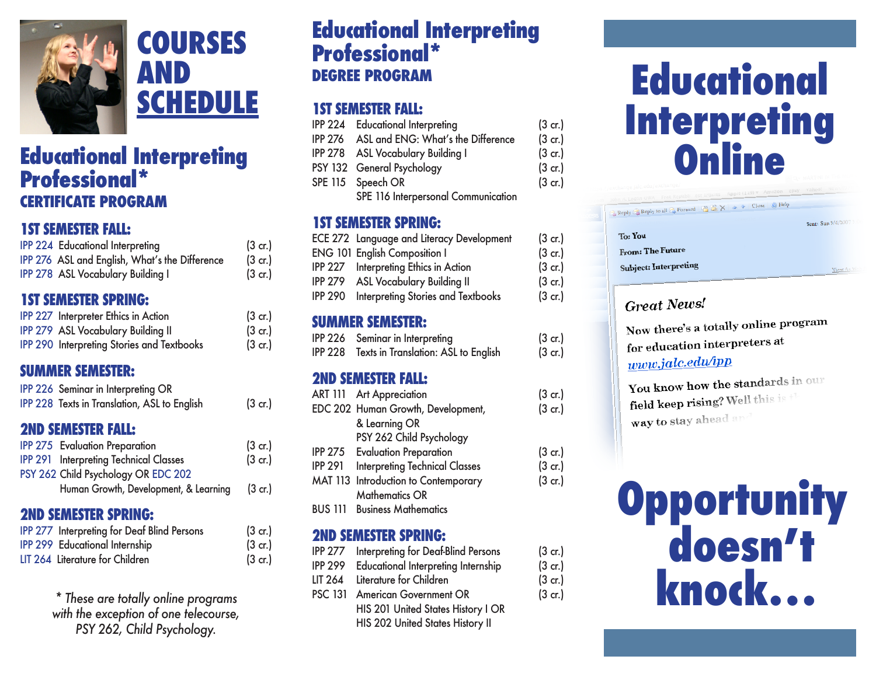

## **educational Interpreting CerTIFICaTe ProGraM**

#### **1ST SEMESTER FALL:**

| <b>IPP 224 Educational Interpreting</b>        | (3 <sub>cr</sub> |
|------------------------------------------------|------------------|
| IPP 276 ASL and English, What's the Difference | (3 <sub>cr</sub> |
| IPP 278 ASL Vocabulary Building I              | (3 <sub>cr</sub> |

| <b>IPP 227 Interpreter Ethics in Action</b>       | $(3 \text{ cr.})$ | <b>SUMMER SEMESTER:</b>                                |                   |
|---------------------------------------------------|-------------------|--------------------------------------------------------|-------------------|
| <b>IPP 279 ASL Vocabulary Building II</b>         | $(3 \text{ cr.})$ | IPP 226 Seminar in Interpreting                        | $(3 \text{ cr.})$ |
| <b>IPP 290 Interpreting Stories and Textbooks</b> | $(3 \text{ cr.})$ | Texts in Translation: ASL to English<br><b>IPP 228</b> | $(3 \text{ cr.})$ |

| IPP 226 Seminar in Interpreting OR           |                   | ART 111 Art Appreciation           | $(3 \text{ cr.})$ |
|----------------------------------------------|-------------------|------------------------------------|-------------------|
|                                              |                   |                                    |                   |
| IPP 228 Texts in Translation, ASL to English | $(3 \text{ cr.})$ | EDC 202 Human Growth, Development, | $(3 \text{ cr.})$ |

#### **2ND SEMESTER FALL:**

| <b>IPP 275 Evaluation Preparation</b>         | $(3 \text{ cr.})$ |
|-----------------------------------------------|-------------------|
| <b>IPP 291 Interpreting Technical Classes</b> | $(3 \text{ cr.})$ |
| PSY 262 Child Psychology OR EDC 202           |                   |
| Human Growth, Development, & Learning         | $(3 \text{ cr.})$ |
|                                               |                   |

#### **2ND SEMESTER SPRING:**

| <b>IPP 277 Interpreting for Deaf Blind Persons</b> | $(3 \text{ cr.})$ | <b>2ND SEMESTER SPRING:</b>                           |                   | doesn't |
|----------------------------------------------------|-------------------|-------------------------------------------------------|-------------------|---------|
| <b>IPP 299 Educational Internship</b>              | $(3 \text{ cr.})$ | Interpreting for Deaf-Blind Persons<br><b>IPP 277</b> | $(3 \text{ cr.})$ |         |
| LIT 264 Literature for Children                    | $(3 \text{ cr.})$ | <b>IPP 299</b><br>Educational Interpreting Internship | $(3 \text{ cr.})$ |         |

\* These are totally online programs with the exception of one telecourse, PSY 262, Child Psychology.

# **educational Interpreting Courses Professional\* and School** Professional\*<br> **AND** DEGREE PROGRAM

#### **1ST SEMESTER FALL:**

|                                 | <b>IPP 224 Educational Interpreting</b>    | $(3 \text{ cr.})$ | <b>Interpretil</b> |
|---------------------------------|--------------------------------------------|-------------------|--------------------|
|                                 | IPP 276 ASL and ENG: What's the Difference | $(3 \text{ cr.})$ |                    |
| <b>Educational Interpreting</b> | IPP 278 ASL Vocabulary Building I          | $(3 \text{ cr.})$ | Online             |
|                                 | PSY 132 General Psychology                 | $(3 \text{ cr.})$ |                    |
| <b>Professional*</b>            | SPE 115 Speech OR                          | $(3 \text{ cr.})$ |                    |
| <b>CERTIFICATE PROGRAM</b>      | SPE 116 Interpersonal Communication        |                   |                    |

#### **1ST SEMESTER SPRING:**

| <b>1ST SEMESTER FALL:</b><br><b>IPP 224 Educational Interpreting</b><br>IPP 276 ASL and English, What's the Difference<br>IPP 278 ASL Vocabulary Building I | $(3 \text{ cr.})$<br>$(3 \text{ cr.})$<br>$(3 \text{ cr.})$ | <b>1ST SEMESTER SPRING:</b><br><b>ECE 272 Language and Literacy Development</b><br><b>ENG 101 English Composition I</b><br><b>IPP 227</b> Interpreting Ethics in Action<br><b>IPP 279 ASL Vocabulary Building II</b> | $(3 \text{ cr.})$<br>$(3 \text{ cr.})$<br>$(3 \text{ cr.})$<br>$(3 \text{ cr.})$ |
|-------------------------------------------------------------------------------------------------------------------------------------------------------------|-------------------------------------------------------------|----------------------------------------------------------------------------------------------------------------------------------------------------------------------------------------------------------------------|----------------------------------------------------------------------------------|
| <b>1ST SEMESTER SPRING:</b>                                                                                                                                 |                                                             | IPP 290 Interpreting Stories and Textbooks                                                                                                                                                                           | $(3 \text{ cr.})$                                                                |

| IPP 226 Seminar in Interpreting                     |  |
|-----------------------------------------------------|--|
| <b>IPP 228</b> Texts in Translation: ASL to English |  |

#### **suMMer seMesTer: 2nd seMesTer Fall:**

| <b>IPP 275</b> Evaluation Preparation<br>$(3 \text{ cr.})$<br>$(3 \text{ cr.})$<br><b>Interpreting Technical Classes</b><br>$(3 \text{ cr.})$<br><b>IPP 291</b><br>MAT 113 Introduction to Contemporary<br>$(3 \text{ cr.})$<br>Human Growth, Development, & Learning<br>$(3 \text{ cr.})$<br><b>Mathematics OR</b> | IPP 228 Texts in Translation, ASL to English<br><b>2ND SEMESTER FALL:</b><br><b>IPP 275 Evaluation Preparation</b> | $(3 \text{ cr.})$<br>$(3 \text{ cr.})$ | EDC 202 Human Growth, Development,<br>& Learning OR<br>PSY 262 Child Psychology | $(3 \text{ cr.})$ | <b>field keep rising?</b> Well this is $\uparrow$<br>way to stay ahead and |
|---------------------------------------------------------------------------------------------------------------------------------------------------------------------------------------------------------------------------------------------------------------------------------------------------------------------|--------------------------------------------------------------------------------------------------------------------|----------------------------------------|---------------------------------------------------------------------------------|-------------------|----------------------------------------------------------------------------|
|                                                                                                                                                                                                                                                                                                                     | <b>IPP 291 Interpreting Technical Classes</b><br>PSY 262 Child Psychology OR EDC 202                               |                                        |                                                                                 |                   |                                                                            |
| <b>BUS 111</b><br><b>2ND SEMESTER SPRING:</b>                                                                                                                                                                                                                                                                       |                                                                                                                    |                                        | <b>Business Mathematics</b>                                                     |                   | Opportunity                                                                |

| IPP 277        | Interpreting for Deaf-Blind Persons        | $(3 \text{ cr.})$ |
|----------------|--------------------------------------------|-------------------|
| <b>IPP 299</b> | <b>Educational Interpreting Internship</b> | $(3 \text{ cr.})$ |
| LIT 264        | Literature for Children                    | $(3 \text{ cr.})$ |
|                | PSC 131 American Government OR             | $(3 \text{ cr.})$ |
|                | HIS 201 United States History I OR         |                   |
|                | HIS 202 United States History II           |                   |

# **educational SCHEDULE**<br> **Educational IST SEMESTER FALL:**<br> **Educational Interpreting IST SEMESTER FALL:**<br>IPP 224 Educational Interpreting (3 cr.)<br>IPP 276 ASL and ENG: What's the Difference (3 cr.)

| Reply & Reply to all & Forward & X & V Close & Help |                   |
|-----------------------------------------------------|-------------------|
|                                                     | Sent: Sun 3/4/200 |
| <b>To:</b> You                                      |                   |
| <b>From: The Future</b>                             |                   |
| <b>Subject: Interpreting</b>                        | View A            |

#### **Great News!**

Now there's a totally online program for education interpreters at www.jalc.edu/ipp

You know how the standards in our field keep rising? Well this is the way to stay ahead and

# <sub>cr.)</sub><br>cr.) knock...